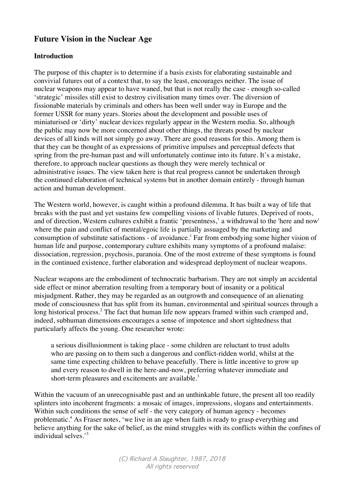# **Future Vision in the Nuclear Age**

# **Introduction**

The purpose of this chapter is to determine if a basis exists for elaborating sustainable and convivial futures out of a context that, to say the least, encourages neither. The issue of nuclear weapons may appear to have waned, but that is not really the case - enough so-called 'strategic' missiles still exist to destroy civilisation many times over. The diversion of fissionable materials by criminals and others has been well under way in Europe and the former USSR for many years. Stories about the development and possible uses of miniaturised or 'dirty' nuclear devices regularly appear in the Western media. So, although the public may now be more concerned about other things, the threats posed by nuclear devices of all kinds will not simply go away. There are good reasons for this. Among them is that they can be thought of as expressions of primitive impulses and perceptual defects that spring from the pre-human past and will unfortunately continue into its future. It's a mistake, therefore, to approach nuclear questions as though they were merely technical or administrative issues. The view taken here is that real progress cannot be undertaken through the continued elaboration of technical systems but in another domain entirely - through human action and human development.

The Western world, however, is caught within a profound dilemma. It has built a way of life that breaks with the past and yet sustains few compelling visions of livable futures. Deprived of roots, and of direction, Western cultures exhibit a frantic 'presentness,' a withdrawal to the 'here and now' where the pain and conflict of mental/egoic life is partially assuaged by the marketing and consumption of substitute satisfactions - of avoidance.<sup>1</sup> Far from embodying some higher vision of human life and purpose, contemporary culture exhibits many symptoms of a profound malaise: dissociation, regression, psychosis, paranoia. One of the most extreme of these symptoms is found in the continued existence, further elaboration and widespread deployment of nuclear weapons.

Nuclear weapons are the embodiment of technocratic barbarism. They are not simply an accidental side effect or minor aberration resulting from a temporary bout of insanity or a political misjudgment. Rather, they may be regarded as an outgrowth and consequence of an alienating mode of consciousness that has split from its human, environmental and spiritual sources through a long historical process.<sup>2</sup> The fact that human life now appears framed within such cramped and, indeed, subhuman dimensions encourages a sense of impotence and short sightedness that particularly affects the young. One researcher wrote:

a serious disillusionment is taking place - some children are reluctant to trust adults who are passing on to them such a dangerous and conflict-ridden world, whilst at the same time expecting children to behave peacefully. There is little incentive to grow up and every reason to dwell in the here-and-now, preferring whatever immediate and short-term pleasures and excitements are available. $3$ 

Within the vacuum of an unrecognisable past and an unthinkable future, the present all too readily splinters into incoherent fragments: a mosaic of images, impressions, slogans and entertainments. Within such conditions the sense of self - the very category of human agency - becomes problematic.<sup>4</sup> As Fraser notes, 'we live in an age when faith is ready to grasp everything and believe anything for the sake of belief, as the mind struggles with its conflicts within the confines of individual selves.'<sup>5</sup>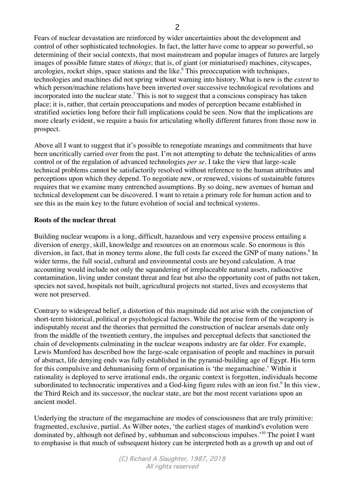arcologies, rocket ships, space stations and the like.<sup>6</sup> This preoccupation with techniques, technologies and machines did not spring without warning into history. What is new is the *extent* to which person/machine relations have been inverted over successive technological revolutions and incorporated into the nuclear state.<sup>7</sup> This is not to suggest that a conscious conspiracy has taken place; it is, rather, that certain preoccupations and modes of perception became established in stratified societies long before their full implications could be seen. Now that the implications are more clearly evident, we require a basis for articulating wholly different futures from those now in prospect.

Above all I want to suggest that it's possible to renegotiate meanings and commitments that have been uncritically carried over from the past. I'm not attempting to debate the technicalities of arms control or of the regulation of advanced technologies *per se*. I take the view that large-scale technical problems cannot be satisfactorily resolved without reference to the human attributes and perceptions upon which they depend. To negotiate new, or renewed, visions of sustainable futures requires that we examine many entrenched assumptions. By so doing, new avenues of human and technical development can be discovered. I want to retain a primary role for human action and to see this as the main key to the future evolution of social and technical systems.

# **Roots of the nuclear threat**

Building nuclear weapons is a long, difficult, hazardous and very expensive process entailing a diversion of energy, skill, knowledge and resources on an enormous scale. So enormous is this diversion, in fact, that in money terms alone, the full costs far exceed the GNP of many nations.<sup>8</sup> In wider terms, the full social, cultural and environmental costs are beyond calculation. A true accounting would include not only the squandering of irreplaceable natural assets, radioactive contamination, living under constant threat and fear but also the opportunity cost of paths not taken, species not saved, hospitals not built, agricultural projects not started, lives and ecosystems that were not preserved.

Contrary to widespread belief, a distortion of this magnitude did not arise with the conjunction of short-term historical, political or psychological factors. While the precise form of the weaponry is indisputably recent and the theories that permitted the construction of nuclear arsenals date only from the middle of the twentieth century, the impulses and perceptual defects that sanctioned the chain of developments culminating in the nuclear weapons industry are far older. For example, Lewis Mumford has described how the large-scale organisation of people and machines in pursuit of abstract, life denying ends was fully established in the pyramid-building age of Egypt. His term for this compulsive and dehumanising form of organisation is 'the megamachine.' Within it rationality is deployed to serve irrational ends, the organic context is forgotten, individuals become subordinated to technocratic imperatives and a God-king figure rules with an iron fist.<sup>9</sup> In this view, the Third Reich and its successor, the nuclear state, are but the most recent variations upon an ancient model.

Underlying the structure of the megamachine are modes of consciousness that are truly primitive: fragmented, exclusive, partial. As Wilber notes, 'the earliest stages of mankind's evolution were dominated by, although not defined by, subhuman and subconscious impulses.'<sup>10</sup> The point I want to emphasise is that much of subsequent history can be interpreted both as a growth up and out of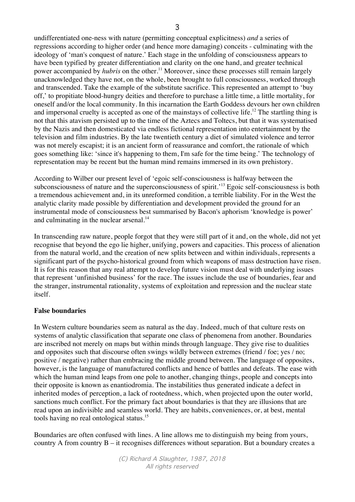undifferentiated one-ness with nature (permitting conceptual explicitness) *and* a series of regressions according to higher order (and hence more damaging) conceits - culminating with the ideology of 'man's conquest of nature.' Each stage in the unfolding of consciousness appears to have been typified by greater differentiation and clarity on the one hand, and greater technical power accompanied by *hubris* on the other.<sup>11</sup> Moreover, since these processes still remain largely unacknowledged they have not, on the whole, been brought to full consciousness, worked through and transcended. Take the example of the substitute sacrifice. This represented an attempt to 'buy off,' to propitiate blood-hungry deities and therefore to purchase a little time, a little mortality, for oneself and/or the local community. In this incarnation the Earth Goddess devours her own children and impersonal cruelty is accepted as one of the mainstays of collective life.<sup>12</sup> The startling thing is not that this atavism persisted up to the time of the Aztecs and Toltecs, but that it was systematised by the Nazis and then domesticated via endless fictional representation into entertainment by the television and film industries. By the late twentieth century a diet of simulated violence and terror was not merely escapist; it is an ancient form of reassurance and comfort, the rationale of which goes something like: 'since it's happening to them, I'm safe for the time being.' The technology of representation may be recent but the human mind remains immersed in its own prehistory.

According to Wilber our present level of 'egoic self-consciousness is halfway between the subconsciousness of nature and the superconsciousness of spirit.<sup>13</sup> Egoic self-consciousness is both a tremendous achievement and, in its unreformed condition, a terrible liability. For in the West the analytic clarity made possible by differentiation and development provided the ground for an instrumental mode of consciousness best summarised by Bacon's aphorism 'knowledge is power' and culminating in the nuclear arsenal.<sup>14</sup>

In transcending raw nature, people forgot that they were still part of it and, on the whole, did not yet recognise that beyond the ego lie higher, unifying, powers and capacities. This process of alienation from the natural world, and the creation of new splits between and within individuals, represents a significant part of the psycho-historical ground from which weapons of mass destruction have risen. It is for this reason that any real attempt to develop future vision must deal with underlying issues that represent 'unfinished business' for the race. The issues include the use of boundaries, fear and the stranger, instrumental rationality, systems of exploitation and repression and the nuclear state itself.

#### **False boundaries**

In Western culture boundaries seem as natural as the day. Indeed, much of that culture rests on systems of analytic classification that separate one class of phenomena from another. Boundaries are inscribed not merely on maps but within minds through language. They give rise to dualities and opposites such that discourse often swings wildly between extremes (friend / foe; yes / no; positive / negative) rather than embracing the middle ground between. The language of opposites, however, is the language of manufactured conflicts and hence of battles and defeats. The ease with which the human mind leaps from one pole to another, changing things, people and concepts into their opposite is known as enantiodromia. The instabilities thus generated indicate a defect in inherited modes of perception, a lack of rootedness, which, when projected upon the outer world, sanctions much conflict. For the primary fact about boundaries is that they are illusions that are read upon an indivisible and seamless world. They are habits, conveniences, or, at best, mental tools having no real ontological status.<sup>15</sup>

Boundaries are often confused with lines. A line allows me to distinguish my being from yours, country A from country B – it recognises differences without separation. But a boundary creates a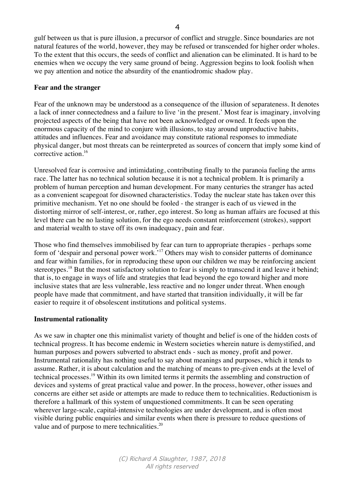gulf between us that is pure illusion, a precursor of conflict and struggle. Since boundaries are not natural features of the world, however, they may be refused or transcended for higher order wholes. To the extent that this occurs, the seeds of conflict and alienation can be eliminated. It is hard to be enemies when we occupy the very same ground of being. Aggression begins to look foolish when we pay attention and notice the absurdity of the enantiodromic shadow play.

#### **Fear and the stranger**

Fear of the unknown may be understood as a consequence of the illusion of separateness. It denotes a lack of inner connectedness and a failure to live 'in the present.' Most fear is imaginary, involving projected aspects of the being that have not been acknowledged or owned. It feeds upon the enormous capacity of the mind to conjure with illusions, to stay around unproductive habits, attitudes and influences. Fear and avoidance may constitute rational responses to immediate physical danger, but most threats can be reinterpreted as sources of concern that imply some kind of corrective action.<sup>16</sup>

Unresolved fear is corrosive and intimidating, contributing finally to the paranoia fueling the arms race. The latter has no technical solution because it is not a technical problem. It is primarily a problem of human perception and human development. For many centuries the stranger has acted as a convenient scapegoat for disowned characteristics. Today the nuclear state has taken over this primitive mechanism. Yet no one should be fooled - the stranger is each of us viewed in the distorting mirror of self-interest, or, rather, ego interest. So long as human affairs are focused at this level there can be no lasting solution, for the ego needs constant reinforcement (strokes), support and material wealth to stave off its own inadequacy, pain and fear.

Those who find themselves immobilised by fear can turn to appropriate therapies - perhaps some form of 'despair and personal power work.'<sup>17</sup> Others may wish to consider patterns of dominance and fear within families, for in reproducing these upon our children we may be reinforcing ancient stereotypes.<sup>18</sup> But the most satisfactory solution to fear is simply to transcend it and leave it behind; that is, to engage in ways of life and strategies that lead beyond the ego toward higher and more inclusive states that are less vulnerable, less reactive and no longer under threat. When enough people have made that commitment, and have started that transition individually, it will be far easier to require it of obsolescent institutions and political systems.

#### **Instrumental rationality**

As we saw in chapter one this minimalist variety of thought and belief is one of the hidden costs of technical progress. It has become endemic in Western societies wherein nature is demystified, and human purposes and powers subverted to abstract ends - such as money, profit and power. Instrumental rationality has nothing useful to say about meanings and purposes, which it tends to assume. Rather, it is about calculation and the matching of means to pre-given ends at the level of technical processes.<sup>19</sup> Within its own limited terms it permits the assembling and construction of devices and systems of great practical value and power. In the process, however, other issues and concerns are either set aside or attempts are made to reduce them to technicalities. Reductionism is therefore a hallmark of this system of unquestioned commitments. It can be seen operating wherever large-scale, capital-intensive technologies are under development, and is often most visible during public enquiries and similar events when there is pressure to reduce questions of value and of purpose to mere technicalities. $20$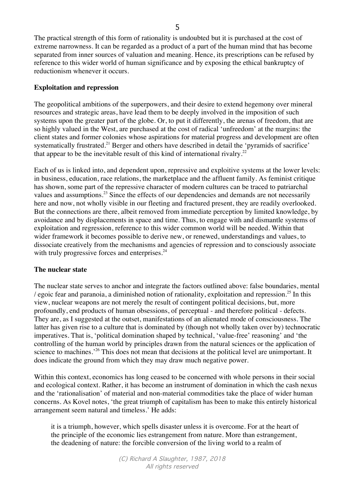5

The practical strength of this form of rationality is undoubted but it is purchased at the cost of extreme narrowness. It can be regarded as a product of a part of the human mind that has become separated from inner sources of valuation and meaning. Hence, its prescriptions can be refused by reference to this wider world of human significance and by exposing the ethical bankruptcy of reductionism whenever it occurs.

# **Exploitation and repression**

The geopolitical ambitions of the superpowers, and their desire to extend hegemony over mineral resources and strategic areas, have lead them to be deeply involved in the imposition of such systems upon the greater part of the globe. Or, to put it differently, the arenas of freedom, that are so highly valued in the West, are purchased at the cost of radical 'unfreedom' at the margins: the client states and former colonies whose aspirations for material progress and development are often systematically frustrated.<sup>21</sup> Berger and others have described in detail the 'pyramids of sacrifice' that appear to be the inevitable result of this kind of international rivalry.<sup>22</sup>

Each of us is linked into, and dependent upon, repressive and exploitive systems at the lower levels: in business, education, race relations, the marketplace and the affluent family. As feminist critique has shown, some part of the repressive character of modern cultures can be traced to patriarchal values and assumptions.<sup>23</sup> Since the effects of our dependencies and demands are not necessarily here and now, not wholly visible in our fleeting and fractured present, they are readily overlooked. But the connections are there, albeit removed from immediate perception by limited knowledge, by avoidance and by displacements in space and time. Thus, to engage with and dismantle systems of exploitation and regression, reference to this wider common world will be needed. Within that wider framework it becomes possible to derive new, or renewed, understandings and values, to dissociate creatively from the mechanisms and agencies of repression and to consciously associate with truly progressive forces and enterprises. $24$ 

# **The nuclear state**

The nuclear state serves to anchor and integrate the factors outlined above: false boundaries, mental / egoic fear and paranoia, a diminished notion of rationality, exploitation and repression.<sup>25</sup> In this view, nuclear weapons are not merely the result of contingent political decisions, but, more profoundly, end products of human obsessions, of perceptual - and therefore political - defects. They are, as I suggested at the outset, manifestations of an alienated mode of consciousness. The latter has given rise to a culture that is dominated by (though not wholly taken over by) technocratic imperatives. That is, 'political domination shaped by technical, 'value-free' reasoning' and 'the controlling of the human world by principles drawn from the natural sciences or the application of science to machines.<sup>26</sup> This does not mean that decisions at the political level are unimportant. It does indicate the ground from which they may draw much negative power.

Within this context, economics has long ceased to be concerned with whole persons in their social and ecological context. Rather, it has become an instrument of domination in which the cash nexus and the 'rationalisation' of material and non-material commodities take the place of wider human concerns. As Kovel notes, 'the great triumph of capitalism has been to make this entirely historical arrangement seem natural and timeless.' He adds:

it is a triumph, however, which spells disaster unless it is overcome. For at the heart of the principle of the economic lies estrangement from nature. More than estrangement, the deadening of nature: the forcible conversion of the living world to a realm of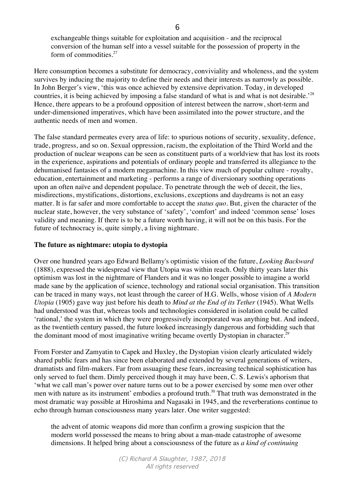exchangeable things suitable for exploitation and acquisition - and the reciprocal conversion of the human self into a vessel suitable for the possession of property in the form of commodities.<sup>27</sup>

Here consumption becomes a substitute for democracy, conviviality and wholeness, and the system survives by inducing the majority to define their needs and their interests as narrowly as possible. In John Berger's view, 'this was once achieved by extensive deprivation. Today, in developed countries, it is being achieved by imposing a false standard of what is and what is not desirable.<sup>28</sup> Hence, there appears to be a profound opposition of interest between the narrow, short-term and under-dimensioned imperatives, which have been assimilated into the power structure, and the authentic needs of men and women.

The false standard permeates every area of life: to spurious notions of security, sexuality, defence, trade, progress, and so on. Sexual oppression, racism, the exploitation of the Third World and the production of nuclear weapons can be seen as constituent parts of a worldview that has lost its roots in the experience, aspirations and potentials of ordinary people and transferred its allegiance to the dehumanised fantasies of a modern megamachine. In this view much of popular culture - royalty, education, entertainment and marketing - performs a range of diversionary soothing operations upon an often naïve and dependent populace. To penetrate through the web of deceit, the lies, misdirections, mystifications, distortions, exclusions, exceptions and daydreams is not an easy matter. It is far safer and more comfortable to accept the *status quo*. But, given the character of the nuclear state, however, the very substance of 'safety', 'comfort' and indeed 'common sense' loses validity and meaning. If there is to be a future worth having, it will not be on this basis. For the future of technocracy is, quite simply, a living nightmare.

#### **The future as nightmare: utopia to dystopia**

Over one hundred years ago Edward Bellamy's optimistic vision of the future, *Looking Backward* (1888), expressed the widespread view that Utopia was within reach. Only thirty years later this optimism was lost in the nightmare of Flanders and it was no longer possible to imagine a world made sane by the application of science, technology and rational social organisation. This transition can be traced in many ways, not least through the career of H.G. Wells, whose vision of *A Modern Utopia* (1905) gave way just before his death to *Mind at the End of its Tether* (1945). What Wells had understood was that, whereas tools and technologies considered in isolation could be called 'rational,' the system in which they were progressively incorporated was anything but. And indeed, as the twentieth century passed, the future looked increasingly dangerous and forbidding such that the dominant mood of most imaginative writing became overtly Dystopian in character.<sup>29</sup>

From Forster and Zamyatin to Capek and Huxley, the Dystopian vision clearly articulated widely shared public fears and has since been elaborated and extended by several generations of writers, dramatists and film-makers. Far from assuaging these fears, increasing technical sophistication has only served to fuel them. Dimly perceived though it may have been, C. S. Lewis's aphorism that 'what we call man's power over nature turns out to be a power exercised by some men over other men with nature as its instrument' embodies a profound truth.<sup>30</sup> That truth was demonstrated in the most dramatic way possible at Hiroshima and Nagasaki in 1945, and the reverberations continue to echo through human consciousness many years later. One writer suggested:

the advent of atomic weapons did more than confirm a growing suspicion that the modern world possessed the means to bring about a man-made catastrophe of awesome dimensions. It helped bring about a consciousness of the future as *a kind of continuing*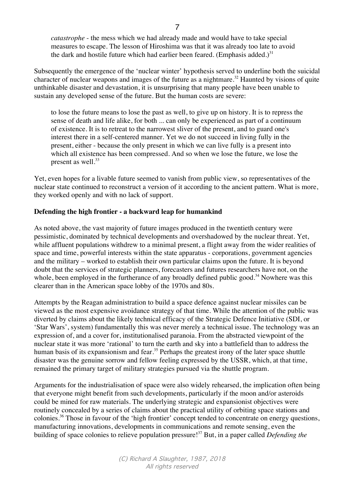*catastrophe* - the mess which we had already made and would have to take special measures to escape. The lesson of Hiroshima was that it was already too late to avoid the dark and hostile future which had earlier been feared. (Emphasis added.) $31$ 

Subsequently the emergence of the 'nuclear winter' hypothesis served to underline both the suicidal character of nuclear weapons and images of the future as a nightmare.<sup>32</sup> Haunted by visions of quite unthinkable disaster and devastation, it is unsurprising that many people have been unable to sustain any developed sense of the future. But the human costs are severe:

to lose the future means to lose the past as well, to give up on history. It is to repress the sense of death and life alike, for both ... can only be experienced as part of a continuum of existence. It is to retreat to the narrowest sliver of the present, and to guard one's interest there in a self-centered manner. Yet we do not succeed in living fully in the present, either - because the only present in which we can live fully is a present into which all existence has been compressed. And so when we lose the future, we lose the present as well. $33$ 

Yet, even hopes for a livable future seemed to vanish from public view, so representatives of the nuclear state continued to reconstruct a version of it according to the ancient pattern. What is more, they worked openly and with no lack of support.

### **Defending the high frontier - a backward leap for humankind**

As noted above, the vast majority of future images produced in the twentieth century were pessimistic, dominated by technical developments and overshadowed by the nuclear threat. Yet, while affluent populations withdrew to a minimal present, a flight away from the wider realities of space and time, powerful interests within the state apparatus - corporations, government agencies and the military – worked to establish their own particular claims upon the future. It is beyond doubt that the services of strategic planners, forecasters and futures researchers have not, on the whole, been employed in the furtherance of any broadly defined public good.<sup>34</sup> Nowhere was this clearer than in the American space lobby of the 1970s and 80s.

Attempts by the Reagan administration to build a space defence against nuclear missiles can be viewed as the most expensive avoidance strategy of that time. While the attention of the public was diverted by claims about the likely technical efficacy of the Strategic Defence Initiative (SDI, or 'Star Wars', system) fundamentally this was never merely a technical issue. The technology was an expression of, and a cover for, institutionalised paranoia. From the abstracted viewpoint of the nuclear state it was more 'rational' to turn the earth and sky into a battlefield than to address the human basis of its expansionism and fear.<sup>35</sup> Perhaps the greatest irony of the later space shuttle disaster was the genuine sorrow and fellow feeling expressed by the USSR, which, at that time, remained the primary target of military strategies pursued via the shuttle program.

Arguments for the industrialisation of space were also widely rehearsed, the implication often being that everyone might benefit from such developments, particularly if the moon and/or asteroids could be mined for raw materials. The underlying strategic and expansionist objectives were routinely concealed by a series of claims about the practical utility of orbiting space stations and colonies.<sup>36</sup> Those in favour of the 'high frontier' concept tended to concentrate on energy questions, manufacturing innovations, developments in communications and remote sensing, even the building of space colonies to relieve population pressure!<sup>37</sup> But, in a paper called *Defending the*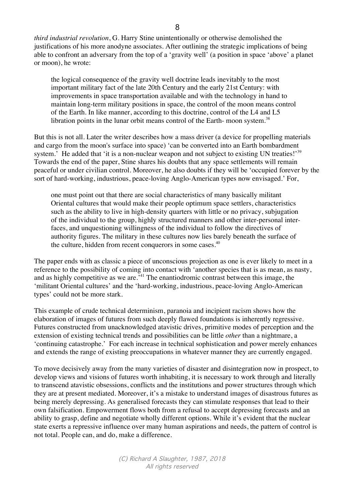*third industrial revolution*, G. Harry Stine unintentionally or otherwise demolished the justifications of his more anodyne associates. After outlining the strategic implications of being able to confront an adversary from the top of a 'gravity well' (a position in space 'above' a planet or moon), he wrote:

the logical consequence of the gravity well doctrine leads inevitably to the most important military fact of the late 20th Century and the early 21st Century: with improvements in space transportation available and with the technology in hand to maintain long-term military positions in space, the control of the moon means control of the Earth. In like manner, according to this doctrine, control of the L4 and L5 libration points in the lunar orbit means control of the Earth- moon system.<sup>38</sup>

But this is not all. Later the writer describes how a mass driver (a device for propelling materials and cargo from the moon's surface into space) 'can be converted into an Earth bombardment system.' He added that 'it is a non-nuclear weapon and not subject to existing UN treaties!'<sup>39</sup> Towards the end of the paper, Stine shares his doubts that any space settlements will remain peaceful or under civilian control. Moreover, he also doubts if they will be 'occupied forever by the sort of hard-working, industrious, peace-loving Anglo-American types now envisaged.' For,

one must point out that there are social characteristics of many basically militant Oriental cultures that would make their people optimum space settlers, characteristics such as the ability to live in high-density quarters with little or no privacy, subjugation of the individual to the group, highly structured manners and other inter-personal interfaces, and unquestioning willingness of the individual to follow the directives of authority figures. The military in these cultures now lies barely beneath the surface of the culture, hidden from recent conquerors in some cases.<sup>40</sup>

The paper ends with as classic a piece of unconscious projection as one is ever likely to meet in a reference to the possibility of coming into contact with 'another species that is as mean, as nasty, and as highly competitive as we are.<sup>14</sup> The enantiodromic contrast between this image, the 'militant Oriental cultures' and the 'hard-working, industrious, peace-loving Anglo-American types' could not be more stark.

This example of crude technical determinism, paranoia and incipient racism shows how the elaboration of images of futures from such deeply flawed foundations is inherently regressive. Futures constructed from unacknowledged atavistic drives, primitive modes of perception and the extension of existing technical trends and possibilities can be little *other* than a nightmare, a 'continuing catastrophe.' For each increase in technical sophistication and power merely enhances and extends the range of existing preoccupations in whatever manner they are currently engaged.

To move decisively away from the many varieties of disaster and disintegration now in prospect, to develop views and visions of futures worth inhabiting, it is necessary to work through and literally to transcend atavistic obsessions, conflicts and the institutions and power structures through which they are at present mediated. Moreover, it's a mistake to understand images of disastrous futures as being merely depressing. As generalised forecasts they can stimulate responses that lead to their own falsification. Empowerment flows both from a refusal to accept depressing forecasts and an ability to grasp, define and negotiate wholly different options. While it's evident that the nuclear state exerts a repressive influence over many human aspirations and needs, the pattern of control is not total. People can, and do, make a difference.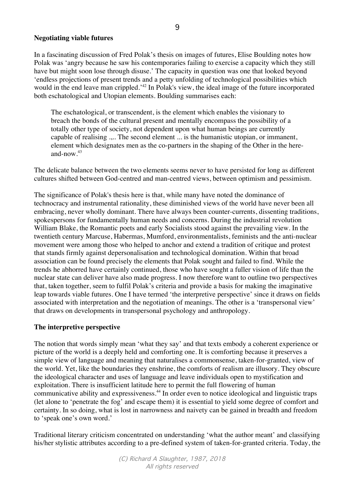#### **Negotiating viable futures**

In a fascinating discussion of Fred Polak's thesis on images of futures, Elise Boulding notes how Polak was 'angry because he saw his contemporaries failing to exercise a capacity which they still have but might soon lose through disuse.' The capacity in question was one that looked beyond 'endless projections of present trends and a petty unfolding of technological possibilities which would in the end leave man crippled.<sup>12</sup> In Polak's view, the ideal image of the future incorporated both eschatological and Utopian elements. Boulding summarises each:

The eschatological, or transcendent, is the element which enables the visionary to breach the bonds of the cultural present and mentally encompass the possibility of a totally other type of society, not dependent upon what human beings are currently capable of realising .,.. The second element ... is the humanistic utopian, or immanent, element which designates men as the co-partners in the shaping of the Other in the hereand-now.43

The delicate balance between the two elements seems never to have persisted for long as different cultures shifted between God-centred and man-centred views, between optimism and pessimism.

The significance of Polak's thesis here is that, while many have noted the dominance of technocracy and instrumental rationality, these diminished views of the world have never been all embracing, never wholly dominant. There have always been counter-currents, dissenting traditions, spokespersons for fundamentally human needs and concerns. During the industrial revolution William Blake, the Romantic poets and early Socialists stood against the prevailing view. In the twentieth century Marcuse, Habermas, Mumford, environmentalists, feminists and the anti-nuclear movement were among those who helped to anchor and extend a tradition of critique and protest that stands firmly against depersonalisation and technological domination. Within that broad association can be found precisely the elements that Polak sought and failed to find. While the trends he abhorred have certainly continued, those who have sought a fuller vision of life than the nuclear state can deliver have also made progress. I now therefore want to outline two perspectives that, taken together, seem to fulfil Polak's criteria and provide a basis for making the imaginative leap towards viable futures. One I have termed 'the interpretive perspective' since it draws on fields associated with interpretation and the negotiation of meanings. The other is a 'transpersonal view' that draws on developments in transpersonal psychology and anthropology.

#### **The interpretive perspective**

The notion that words simply mean 'what they say' and that texts embody a coherent experience or picture of the world is a deeply held and comforting one. It is comforting because it preserves a simple view of language and meaning that naturalises a commonsense, taken-for-granted, view of the world. Yet, like the boundaries they enshrine, the comforts of realism are illusory. They obscure the ideological character and uses of language and leave individuals open to mystification and exploitation. There is insufficient latitude here to permit the full flowering of human communicative ability and expressiveness.<sup>44</sup> In order even to notice ideological and linguistic traps (let alone to 'penetrate the fog' and escape them) it is essential to yield some degree of comfort and certainty. In so doing, what is lost in narrowness and naivety can be gained in breadth and freedom to 'speak one's own word.'

Traditional literary criticism concentrated on understanding 'what the author meant' and classifying his/her stylistic attributes according to a pre-defined system of taken-for-granted criteria. Today, the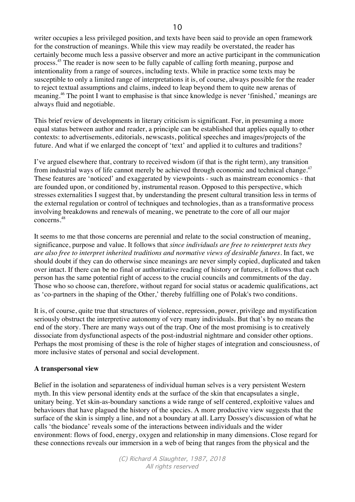writer occupies a less privileged position, and texts have been said to provide an open framework for the construction of meanings. While this view may readily be overstated, the reader has certainly become much less a passive observer and more an active participant in the communication process.<sup>45</sup> The reader is now seen to be fully capable of calling forth meaning, purpose and intentionality from a range of sources, including texts. While in practice some texts may be susceptible to only a limited range of interpretations it is, of course, always possible for the reader to reject textual assumptions and claims, indeed to leap beyond them to quite new arenas of meaning.<sup>46</sup> The point I want to emphasise is that since knowledge is never 'finished,' meanings are always fluid and negotiable.

This brief review of developments in literary criticism is significant. For, in presuming a more equal status between author and reader, a principle can be established that applies equally to other contexts: to advertisements, editorials, newscasts, political speeches and images/projects of the future. And what if we enlarged the concept of 'text' and applied it to cultures and traditions?

I've argued elsewhere that, contrary to received wisdom (if that is the right term), any transition from industrial ways of life cannot merely be achieved through economic and technical change.<sup>47</sup> These features are 'noticed' and exaggerated by viewpoints - such as mainstream economics - that are founded upon, or conditioned by, instrumental reason. Opposed to this perspective, which stresses externalities I suggest that, by understanding the present cultural transition less in terms of the external regulation or control of techniques and technologies, than as a transformative process involving breakdowns and renewals of meaning, we penetrate to the core of all our major concerns.<sup>48</sup>

It seems to me that those concerns are perennial and relate to the social construction of meaning, significance, purpose and value. It follows that *since individuals are free to reinterpret texts they are also free to interpret inherited traditions and normative views of desirable futures*. In fact, we should doubt if they can do otherwise since meanings are never simply copied, duplicated and taken over intact. If there can be no final or authoritative reading of history or futures, it follows that each person has the same potential right of access to the crucial councils and commitments of the day. Those who so choose can, therefore, without regard for social status or academic qualifications, act as 'co-partners in the shaping of the Other,' thereby fulfilling one of Polak's two conditions.

It is, of course, quite true that structures of violence, repression, power, privilege and mystification seriously obstruct the interpretive autonomy of very many individuals. But that's by no means the end of the story. There are many ways out of the trap. One of the most promising is to creatively dissociate from dysfunctional aspects of the post-industrial nightmare and consider other options. Perhaps the most promising of these is the role of higher stages of integration and consciousness, of more inclusive states of personal and social development.

# **A transpersonal view**

Belief in the isolation and separateness of individual human selves is a very persistent Western myth. In this view personal identity ends at the surface of the skin that encapsulates a single, unitary being. Yet skin-as-boundary sanctions a wide range of self centered, exploitive values and behaviours that have plagued the history of the species. A more productive view suggests that the surface of the skin is simply a line, and not a boundary at all. Larry Dossey's discussion of what he calls 'the biodance' reveals some of the interactions between individuals and the wider environment: flows of food, energy, oxygen and relationship in many dimensions. Close regard for these connections reveals our immersion in a web of being that ranges from the physical and the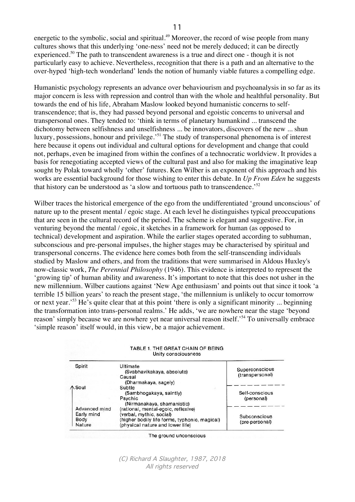energetic to the symbolic, social and spiritual.<sup>49</sup> Moreover, the record of wise people from many cultures shows that this underlying 'one-ness' need not be merely deduced; it can be directly experienced.<sup>50</sup> The path to transcendent awareness is a true and direct one - though it is not particularly easy to achieve. Nevertheless, recognition that there is a path and an alternative to the over-hyped 'high-tech wonderland' lends the notion of humanly viable futures a compelling edge.

Humanistic psychology represents an advance over behaviourism and psychoanalysis in so far as its major concern is less with repression and control than with the whole and healthful personality. But towards the end of his life, Abraham Maslow looked beyond humanistic concerns to selftranscendence; that is, they had passed beyond personal and egoistic concerns to universal and transpersonal ones. They tended to: 'think in terms of planetary humankind ... transcend the dichotomy between selfishness and unselfishness ... be innovators, discovers of the new ... shun luxury, possessions, honour and privilege.<sup>51</sup> The study of transpersonal phenomena is of interest here because it opens out individual and cultural options for development and change that could not, perhaps, even be imagined from within the confines of a technocratic worldview. It provides a basis for renegotiating accepted views of the cultural past and also for making the imaginative leap sought by Polak toward wholly 'other' futures. Ken Wilber is an exponent of this approach and his works are essential background for those wishing to enter this debate. In *Up From Eden* he suggests that history can be understood as 'a slow and tortuous path to transcendence.<sup>52</sup>

Wilber traces the historical emergence of the ego from the undifferentiated 'ground unconscious' of nature up to the present mental / egoic stage. At each level he distinguishes typical preoccupations that are seen in the cultural record of the period. The scheme is elegant and suggestive. For, in venturing beyond the mental / egoic, it sketches in a framework for human (as opposed to technical) development and aspiration. While the earlier stages operated according to subhuman, subconscious and pre-personal impulses, the higher stages may be characterised by spiritual and transpersonal concerns. The evidence here comes both from the self-transcending individuals studied by Maslow and others, and from the traditions that were summarised in Aldous Huxley's now-classic work, *The Perennial Philosophy* (1946). This evidence is interpreted to represent the 'growing tip' of human ability and awareness. It's important to note that this does not usher in the new millennium. Wilber cautions against 'New Age enthusiasm' and points out that since it took 'a terrible 15 billion years' to reach the present stage, 'the millennium is unlikely to occur tomorrow or next year.'<sup>53</sup> He's quite clear that at this point 'there is only a significant minority ... beginning the transformation into trans-personal realms.' He adds, 'we are nowhere near the stage 'beyond reason' simply because we are nowhere yet near universal reason itself.<sup>54</sup> To universally embrace 'simple reason' itself would, in this view, be a major achievement.

| Spirit                      | Ultimate<br>(Svabhavikakaya, absolute)                          | Superconscious                 |
|-----------------------------|-----------------------------------------------------------------|--------------------------------|
|                             | Causal<br>(Dharmakaya, sagely)                                  | (transpersonal)                |
| A Soul                      | Subtle<br>$\hat{A}$<br>(Sambhogakaya, saintly)                  | Self-conscious                 |
|                             | Psychic<br>(Nirmanakaya, shamanistic)                           | (personal)                     |
| Advanced mind<br>Early mind | (rational, mental-egoic, reflexive)<br>(verbal, mythic, social) |                                |
| Body                        | (higher bodily life forms, typhonic, magical)                   | Subconscious<br>(pre-personal) |
| Nature                      | (physical nature and lower life)                                |                                |

| TABLE 1. THE GREAT CHAIN OF BEING |  |  |
|-----------------------------------|--|--|
| Unity consciousness               |  |  |

The ground unconscious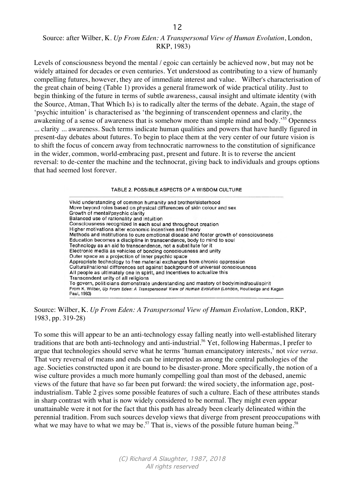### Source: after Wilber, K. *Up From Eden: A Transpersonal View of Human Evolution*, London, RKP, 1983)

Levels of consciousness beyond the mental / egoic can certainly be achieved now, but may not be widely attained for decades or even centuries. Yet understood as contributing to a view of humanly compelling futures, however, they are of immediate interest and value. Wilber's characterisation of the great chain of being (Table 1) provides a general framework of wide practical utility. Just to begin thinking of the future in terms of subtle awareness, causal insight and ultimate identity (with the Source, Atman, That Which Is) is to radically alter the terms of the debate. Again, the stage of 'psychic intuition' is characterised as 'the beginning of transcendent openness and clarity, the awakening of a sense of awareness that is somehow more than simple mind and body.<sup>55</sup> Openness ... clarity ... awareness. Such terms indicate human qualities and powers that have hardly figured in present-day debates about futures. To begin to place them at the very center of our future vision is to shift the focus of concern away from technocratic narrowness to the constitution of significance in the wider, common, world-embracing past, present and future. It is to reverse the ancient reversal: to de-center the machine and the technocrat, giving back to individuals and groups options that had seemed lost forever.

TABLE 2. POSSIBLE ASPECTS OF A WISDOM CULTURE

| Vivid understanding of common humanity and brother/sisterhood            |                                                                                                    |
|--------------------------------------------------------------------------|----------------------------------------------------------------------------------------------------|
| Move beyond roles based on physical differences of skin colour and sex   |                                                                                                    |
| Growth of mental/psychic clarity                                         |                                                                                                    |
| Balanced use of rationality and intuition                                |                                                                                                    |
| Consciousness recognized in each soul and throughout creation            |                                                                                                    |
| Higher motivations alter economic incentives and theory                  |                                                                                                    |
|                                                                          | Methods and institutions to cure emotional disease and foster growth of consciousness              |
| Education becomes a discipline in transcendence, body to mind to soul    |                                                                                                    |
| Technology as an aid to transcendence, not a substitute for it           |                                                                                                    |
| Electronic media as vehicles of bonding consciousness and unity          |                                                                                                    |
| Outer space as a projection of inner psychic space                       |                                                                                                    |
|                                                                          |                                                                                                    |
|                                                                          | Appropriate technology to free material exchanges from chronic oppression                          |
|                                                                          | Cultural/national differences set against background of universal consciousness                    |
| All people as ultimately one in spirit, and incentives to actualize this |                                                                                                    |
| Transcendent unity of all religions                                      |                                                                                                    |
|                                                                          | To govern, politicians demonstrate understanding and mastery of body/mind/soul/spirit              |
| Paul, 1983)                                                              | From K. Wilber, Up From Eden: A Transpersonal View of Human Evolution (London, Routledge and Kegan |
|                                                                          |                                                                                                    |

#### Source: Wilber, K. *Up From Eden: A Transpersonal View of Human Evolution*, London, RKP, 1983, pp. 319-28)

To some this will appear to be an anti-technology essay falling neatly into well-established literary traditions that are both anti-technology and anti-industrial.<sup>56</sup> Yet, following Habermas, I prefer to argue that technologies should serve what he terms 'human emancipatory interests,' not *vice versa*. That very reversal of means and ends can be interpreted as among the central pathologies of the age. Societies constructed upon it are bound to be disaster-prone. More specifically, the notion of a wise culture provides a much more humanly compelling goal than most of the debased, anemic views of the future that have so far been put forward: the wired society, the information age, postindustrialism. Table 2 gives some possible features of such a culture. Each of these attributes stands in sharp contrast with what is now widely considered to be normal. They might even appear unattainable were it not for the fact that this path has already been clearly delineated within the perennial tradition. From such sources develop views that diverge from present preoccupations with what we may have to what we may be.<sup>57</sup> That is, views of the possible future human being.<sup>58</sup>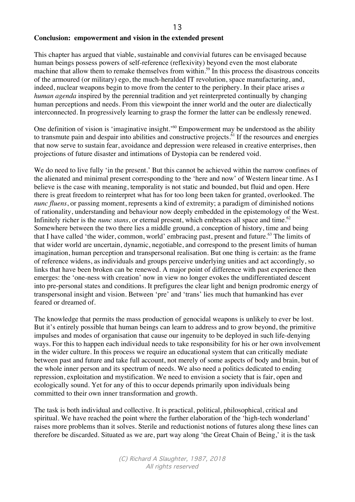#### **Conclusion: empowerment and vision in the extended present**

This chapter has argued that viable, sustainable and convivial futures can be envisaged because human beings possess powers of self-reference (reflexivity) beyond even the most elaborate machine that allow them to remake themselves from within.<sup>59</sup> In this process the disastrous conceits of the armoured (or military) ego, the much-heralded IT revolution, space manufacturing, and, indeed, nuclear weapons begin to move from the center to the periphery. In their place arises *a human agenda* inspired by the perennial tradition and yet reinterpreted continually by changing human perceptions and needs. From this viewpoint the inner world and the outer are dialectically interconnected. In progressively learning to grasp the former the latter can be endlessly renewed.

One definition of vision is 'imaginative insight.'<sup>60</sup> Empowerment may be understood as the ability to transmute pain and despair into abilities and constructive projects. $61$  If the resources and energies that now serve to sustain fear, avoidance and depression were released in creative enterprises, then projections of future disaster and intimations of Dystopia can be rendered void.

We do need to live fully 'in the present.' But this cannot be achieved within the narrow confines of the alienated and minimal present corresponding to the 'here and now' of Western linear time. As I believe is the case with meaning, temporality is not static and bounded, but fluid and open. Here there is great freedom to reinterpret what has for too long been taken for granted, overlooked. The *nunc fluens*, or passing moment, represents a kind of extremity; a paradigm of diminished notions of rationality, understanding and behaviour now deeply embedded in the epistemology of the West. Infinitely richer is the *nunc stans*, or eternal present, which embraces all space and time.<sup>62</sup> Somewhere between the two there lies a middle ground, a conception of history, time and being that I have called 'the wider, common, world' embracing past, present and future.<sup>63</sup> The limits of that wider world are uncertain, dynamic, negotiable, and correspond to the present limits of human imagination, human perception and transpersonal realisation. But one thing is certain: as the frame of reference widens, as individuals and groups perceive underlying unities and act accordingly, so links that have been broken can be renewed. A major point of difference with past experience then emerges: the 'one-ness with creation' now in view no longer evokes the undifferentiated descent into pre-personal states and conditions. It prefigures the clear light and benign prodromic energy of transpersonal insight and vision. Between 'pre' and 'trans' lies much that humankind has ever feared or dreamed of.

The knowledge that permits the mass production of genocidal weapons is unlikely to ever be lost. But it's entirely possible that human beings can learn to address and to grow beyond, the primitive impulses and modes of organisation that cause our ingenuity to be deployed in such life-denying ways. For this to happen each individual needs to take responsibility for his or her own involvement in the wider culture. In this process we require an educational system that can critically mediate between past and future and take full account, not merely of some aspects of body and brain, but of the whole inner person and its spectrum of needs. We also need a politics dedicated to ending repression, exploitation and mystification. We need to envision a society that is fair, open and ecologically sound. Yet for any of this to occur depends primarily upon individuals being committed to their own inner transformation and growth.

The task is both individual and collective. It is practical, political, philosophical, critical and spiritual. We have reached the point where the further elaboration of the 'high-tech wonderland' raises more problems than it solves. Sterile and reductionist notions of futures along these lines can therefore be discarded. Situated as we are, part way along 'the Great Chain of Being,' it is the task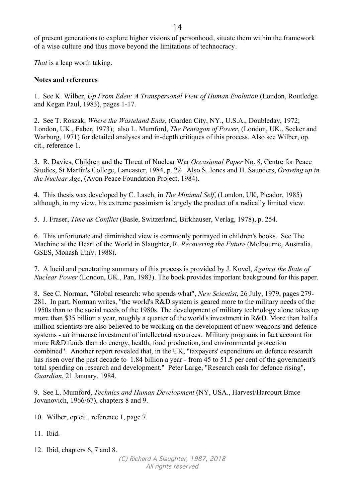of present generations to explore higher visions of personhood, situate them within the framework of a wise culture and thus move beyond the limitations of technocracy.

*That* is a leap worth taking.

### **Notes and references**

1. See K. Wilber, *Up From Eden: A Transpersonal View of Human Evolution* (London, Routledge and Kegan Paul, 1983), pages 1-17.

2. See T. Roszak, *Where the Wasteland Ends*, (Garden City, NY., U.S.A., Doubleday, 1972; London, UK., Faber, 1973); also L. Mumford, *The Pentagon of Power*, (London, UK., Secker and Warburg, 1971) for detailed analyses and in-depth critiques of this process. Also see Wilber, op. cit., reference 1.

3. R. Davies, Children and the Threat of Nuclear War *Occasional Paper* No. 8, Centre for Peace Studies, St Martin's College, Lancaster, 1984, p. 22. Also S. Jones and H. Saunders, *Growing up in the Nuclear Age*, (Avon Peace Foundation Project, 1984).

4. This thesis was developed by C. Lasch, in *The Minimal Self*, (London, UK, Picador, 1985) although, in my view, his extreme pessimism is largely the product of a radically limited view.

5. J. Fraser, *Time as Conflict* (Basle, Switzerland, Birkhauser, Verlag, 1978), p. 254.

6. This unfortunate and diminished view is commonly portrayed in children's books. See The Machine at the Heart of the World in Slaughter, R. *Recovering the Future* (Melbourne, Australia, GSES, Monash Univ. 1988).

7. A lucid and penetrating summary of this process is provided by J. Kovel, *Against the State of Nuclear Power* (London, UK., Pan, 1983). The book provides important background for this paper.

8. See C. Norman, "Global research: who spends what", *New Scientist*, 26 July, 1979, pages 279- 281. In part, Norman writes, "the world's R&D system is geared more to the military needs of the 1950s than to the social needs of the 1980s. The development of military technology alone takes up more than \$35 billion a year, roughly a quarter of the world's investment in R&D. More than half a million scientists are also believed to be working on the development of new weapons and defence systems - an immense investment of intellectual resources. Military programs in fact account for more R&D funds than do energy, health, food production, and environmental protection combined". Another report revealed that, in the UK, "taxpayers' expenditure on defence research has risen over the past decade to 1.84 billion a year - from 45 to 51.5 per cent of the government's total spending on research and development." Peter Large, "Research cash for defence rising", *Guardian*, 21 January, 1984.

9. See L. Mumford, *Technics and Human Development* (NY, USA., Harvest/Harcourt Brace Jovanovich, 1966/67), chapters 8 and 9.

10. Wilber, op cit., reference 1, page 7.

11. Ibid.

12. Ibid, chapters 6, 7 and 8.

14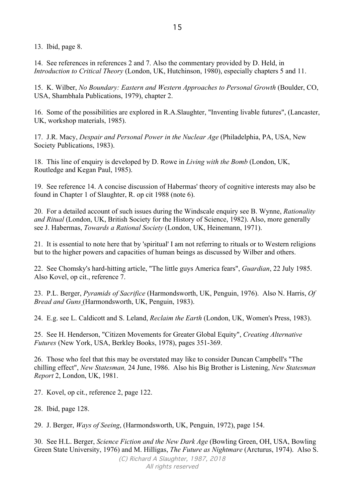13. Ibid, page 8.

14. See references in references 2 and 7. Also the commentary provided by D. Held, in *Introduction to Critical Theory* (London, UK, Hutchinson, 1980), especially chapters 5 and 11.

15. K. Wilber, *No Boundary: Eastern and Western Approaches to Personal Growth* (Boulder, CO, USA, Shambhala Publications, 1979), chapter 2.

16. Some of the possibilities are explored in R.A.Slaughter, "Inventing livable futures", (Lancaster, UK, workshop materials, 1985).

17. J.R. Macy, *Despair and Personal Power in the Nuclear Age* (Philadelphia, PA, USA, New Society Publications, 1983).

18. This line of enquiry is developed by D. Rowe in *Living with the Bomb* (London, UK, Routledge and Kegan Paul, 1985).

19. See reference 14. A concise discussion of Habermas' theory of cognitive interests may also be found in Chapter 1 of Slaughter, R. op cit 1988 (note 6).

20. For a detailed account of such issues during the Windscale enquiry see B. Wynne, *Rationality and Ritual* (London, UK, British Society for the History of Science, 1982). Also, more generally see J. Habermas, *Towards a Rational Society* (London, UK, Heinemann, 1971).

21. It is essential to note here that by 'spiritual' I am not referring to rituals or to Western religions but to the higher powers and capacities of human beings as discussed by Wilber and others.

22. See Chomsky's hard-hitting article, "The little guys America fears", *Guardian*, 22 July 1985. Also Kovel, op cit., reference 7.

23. P.L. Berger, *Pyramids of Sacrifice* (Harmondsworth, UK, Penguin, 1976). Also N. Harris, *Of Bread and Guns* (Harmondsworth, UK, Penguin, 1983).

24. E.g. see L. Caldicott and S. Leland, *Reclaim the Earth* (London, UK, Women's Press, 1983).

25. See H. Henderson, "Citizen Movements for Greater Global Equity", *Creating Alternative Futures* (New York, USA, Berkley Books, 1978), pages 351-369.

26. Those who feel that this may be overstated may like to consider Duncan Campbell's "The chilling effect", *New Statesman,* 24 June, 1986. Also his Big Brother is Listening, *New Statesman Report* 2, London, UK, 1981.

27. Kovel, op cit., reference 2, page 122.

28. Ibid, page 128.

29. J. Berger, *Ways of Seeing*, (Harmondsworth, UK, Penguin, 1972), page 154.

30. See H.L. Berger, *Science Fiction and the New Dark Age* (Bowling Green, OH, USA, Bowling Green State University, 1976) and M. Hilligas, *The Future as Nightmare* (Arcturus, 1974). Also S.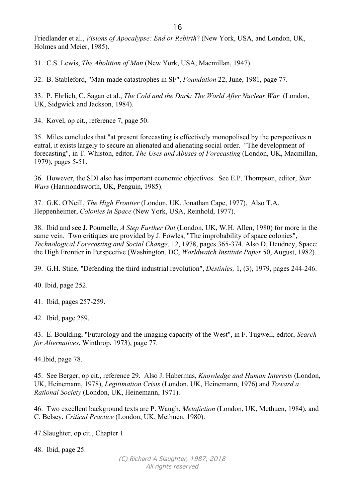Friedlander et al., *Visions of Apocalypse: End or Rebirth*? (New York, USA, and London, UK, Holmes and Meier, 1985).

31. C.S. Lewis, *The Abolition of Man* (New York, USA, Macmillan, 1947).

32. B. Stableford, "Man-made catastrophes in SF", *Foundation* 22, June, 1981, page 77.

33. P. Ehrlich, C. Sagan et al., *The Cold and the Dark: The World After Nuclear War* (London, UK, Sidgwick and Jackson, 1984).

34. Kovel, op cit., reference 7, page 50.

35. Miles concludes that "at present forecasting is effectively monopolised by the perspectives n eutral, it exists largely to secure an alienated and alienating social order. "The development of forecasting", in T. Whiston, editor, *The Uses and Abuses of Forecasting* (London, UK, Macmillan, 1979), pages 5-51.

36. However, the SDI also has important economic objectives. See E.P. Thompson, editor, *Star Wars* (Harmondsworth, UK, Penguin, 1985).

37. G.K. O'Neill, *The High Frontier* (London, UK, Jonathan Cape, 1977). Also T.A. Heppenheimer, *Colonies in Space* (New York, USA, Reinhold, 1977).

38. Ibid and see J. Pournelle, *A Step Further Out* (London, UK, W.H. Allen, 1980) for more in the same vein. Two critiques are provided by J. Fowles, "The improbability of space colonies", *Technological Forecasting and Social Change*, 12, 1978, pages 365-374. Also D. Deudney, Space: the High Frontier in Perspective (Washington, DC, *Worldwatch Institute Paper* 50, August, 1982).

39. G.H. Stine, "Defending the third industrial revolution", *Destinies,* 1, (3), 1979, pages 244-246.

40. Ibid, page 252.

41. Ibid, pages 257-259.

42. Ibid, page 259.

43. E. Boulding, "Futurology and the imaging capacity of the West", in F. Tugwell, editor, *Search for Alternatives*, Winthrop, 1973), page 77.

44.Ibid, page 78.

45. See Berger, op cit., reference 29. Also J. Habermas, *Knowledge and Human Interests* (London, UK, Heinemann, 1978), *Legitimation Crisis* (London, UK, Heinemann, 1976) and *Toward a Rational Society* (London, UK, Heinemann, 1971).

46. Two excellent background texts are P. Waugh, *Metafiction* (London, UK, Methuen, 1984), and C. Belsey, *Critical Practice* (London, UK, Methuen, 1980).

47.Slaughter, op cit., Chapter 1

48. Ibid, page 25.